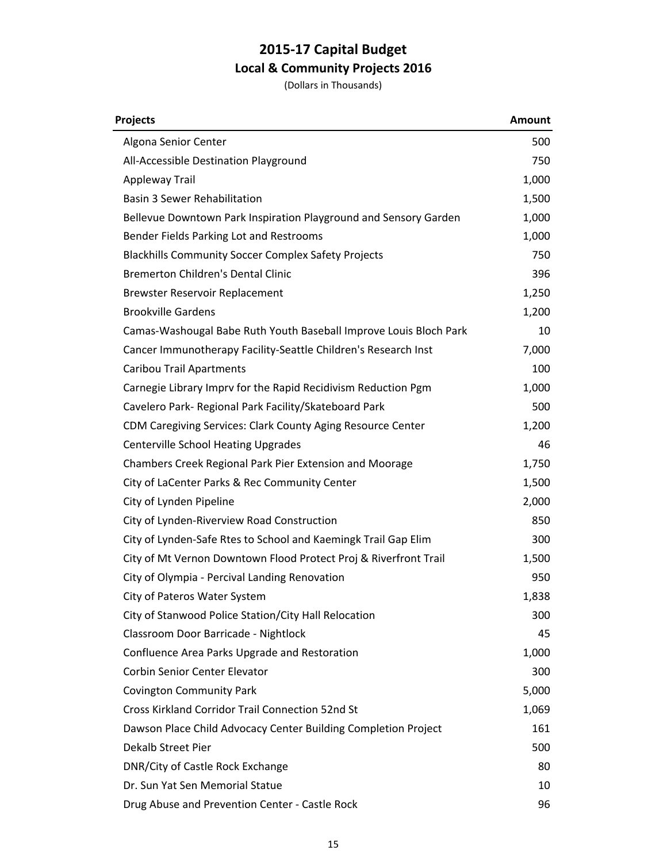| Projects                                                          | <b>Amount</b> |
|-------------------------------------------------------------------|---------------|
| Algona Senior Center                                              | 500           |
| All-Accessible Destination Playground                             | 750           |
| Appleway Trail                                                    | 1,000         |
| <b>Basin 3 Sewer Rehabilitation</b>                               | 1,500         |
| Bellevue Downtown Park Inspiration Playground and Sensory Garden  | 1,000         |
| Bender Fields Parking Lot and Restrooms                           | 1,000         |
| <b>Blackhills Community Soccer Complex Safety Projects</b>        | 750           |
| <b>Bremerton Children's Dental Clinic</b>                         | 396           |
| <b>Brewster Reservoir Replacement</b>                             | 1,250         |
| <b>Brookville Gardens</b>                                         | 1,200         |
| Camas-Washougal Babe Ruth Youth Baseball Improve Louis Bloch Park | 10            |
| Cancer Immunotherapy Facility-Seattle Children's Research Inst    | 7,000         |
| <b>Caribou Trail Apartments</b>                                   | 100           |
| Carnegie Library Imprv for the Rapid Recidivism Reduction Pgm     | 1,000         |
| Cavelero Park- Regional Park Facility/Skateboard Park             | 500           |
| CDM Caregiving Services: Clark County Aging Resource Center       | 1,200         |
| <b>Centerville School Heating Upgrades</b>                        | 46            |
| Chambers Creek Regional Park Pier Extension and Moorage           | 1,750         |
| City of LaCenter Parks & Rec Community Center                     | 1,500         |
| City of Lynden Pipeline                                           | 2,000         |
| City of Lynden-Riverview Road Construction                        | 850           |
| City of Lynden-Safe Rtes to School and Kaemingk Trail Gap Elim    | 300           |
| City of Mt Vernon Downtown Flood Protect Proj & Riverfront Trail  | 1,500         |
| City of Olympia - Percival Landing Renovation                     | 950           |
| City of Pateros Water System                                      | 1,838         |
| City of Stanwood Police Station/City Hall Relocation              | 300           |
| Classroom Door Barricade - Nightlock                              | 45            |
| Confluence Area Parks Upgrade and Restoration                     | 1,000         |
| <b>Corbin Senior Center Elevator</b>                              | 300           |
| <b>Covington Community Park</b>                                   | 5,000         |
| <b>Cross Kirkland Corridor Trail Connection 52nd St</b>           | 1,069         |
| Dawson Place Child Advocacy Center Building Completion Project    | 161           |
| Dekalb Street Pier                                                | 500           |
| DNR/City of Castle Rock Exchange                                  | 80            |
| Dr. Sun Yat Sen Memorial Statue                                   | 10            |
| Drug Abuse and Prevention Center - Castle Rock                    | 96            |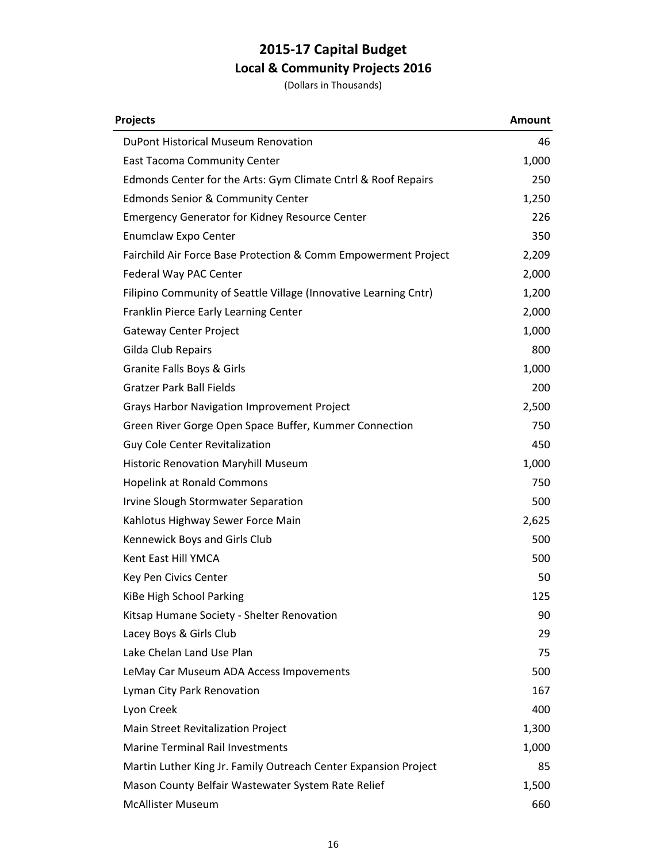| <b>Projects</b>                                                  | <b>Amount</b> |
|------------------------------------------------------------------|---------------|
| DuPont Historical Museum Renovation                              | 46            |
| <b>East Tacoma Community Center</b>                              | 1,000         |
| Edmonds Center for the Arts: Gym Climate Cntrl & Roof Repairs    | 250           |
| <b>Edmonds Senior &amp; Community Center</b>                     | 1,250         |
| <b>Emergency Generator for Kidney Resource Center</b>            | 226           |
| Enumclaw Expo Center                                             | 350           |
| Fairchild Air Force Base Protection & Comm Empowerment Project   | 2,209         |
| Federal Way PAC Center                                           | 2,000         |
| Filipino Community of Seattle Village (Innovative Learning Cntr) | 1,200         |
| Franklin Pierce Early Learning Center                            | 2,000         |
| <b>Gateway Center Project</b>                                    | 1,000         |
| Gilda Club Repairs                                               | 800           |
| Granite Falls Boys & Girls                                       | 1,000         |
| <b>Gratzer Park Ball Fields</b>                                  | 200           |
| <b>Grays Harbor Navigation Improvement Project</b>               | 2,500         |
| Green River Gorge Open Space Buffer, Kummer Connection           | 750           |
| <b>Guy Cole Center Revitalization</b>                            | 450           |
| Historic Renovation Maryhill Museum                              | 1,000         |
| <b>Hopelink at Ronald Commons</b>                                | 750           |
| Irvine Slough Stormwater Separation                              | 500           |
| Kahlotus Highway Sewer Force Main                                | 2,625         |
| Kennewick Boys and Girls Club                                    | 500           |
| Kent East Hill YMCA                                              | 500           |
| Key Pen Civics Center                                            | 50            |
| KiBe High School Parking                                         | 125           |
| Kitsap Humane Society - Shelter Renovation                       | 90            |
| Lacey Boys & Girls Club                                          | 29            |
| Lake Chelan Land Use Plan                                        | 75            |
| LeMay Car Museum ADA Access Impovements                          | 500           |
| Lyman City Park Renovation                                       | 167           |
| Lyon Creek                                                       | 400           |
| Main Street Revitalization Project                               | 1,300         |
| <b>Marine Terminal Rail Investments</b>                          | 1,000         |
| Martin Luther King Jr. Family Outreach Center Expansion Project  | 85            |
| Mason County Belfair Wastewater System Rate Relief               | 1,500         |
| <b>McAllister Museum</b>                                         | 660           |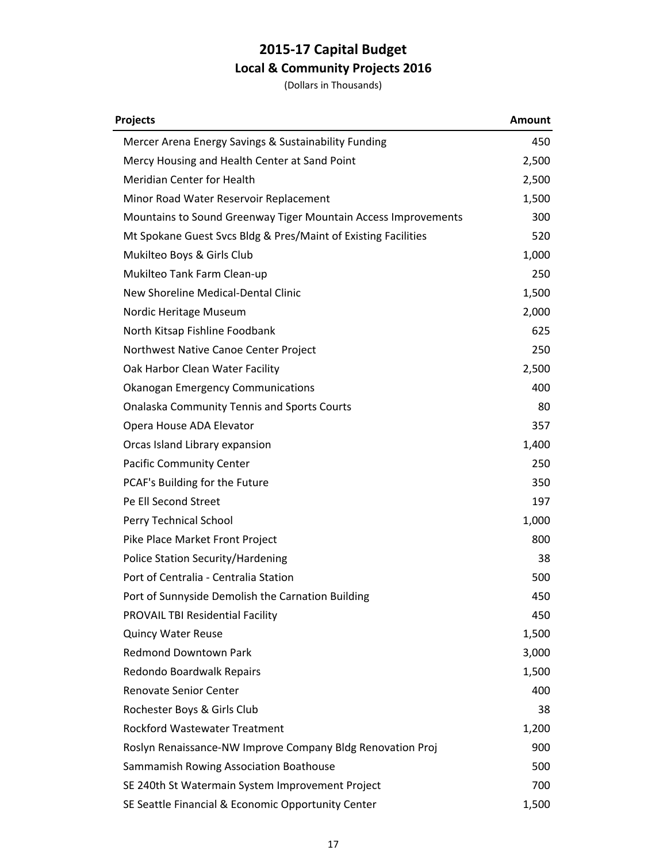| <b>Projects</b>                                                | <b>Amount</b> |
|----------------------------------------------------------------|---------------|
| Mercer Arena Energy Savings & Sustainability Funding           | 450           |
| Mercy Housing and Health Center at Sand Point                  | 2,500         |
| Meridian Center for Health                                     | 2,500         |
| Minor Road Water Reservoir Replacement                         | 1,500         |
| Mountains to Sound Greenway Tiger Mountain Access Improvements | 300           |
| Mt Spokane Guest Svcs Bldg & Pres/Maint of Existing Facilities | 520           |
| Mukilteo Boys & Girls Club                                     | 1,000         |
| Mukilteo Tank Farm Clean-up                                    | 250           |
| New Shoreline Medical-Dental Clinic                            | 1,500         |
| Nordic Heritage Museum                                         | 2,000         |
| North Kitsap Fishline Foodbank                                 | 625           |
| Northwest Native Canoe Center Project                          | 250           |
| Oak Harbor Clean Water Facility                                | 2,500         |
| <b>Okanogan Emergency Communications</b>                       | 400           |
| <b>Onalaska Community Tennis and Sports Courts</b>             | 80            |
| Opera House ADA Elevator                                       | 357           |
| Orcas Island Library expansion                                 | 1,400         |
| <b>Pacific Community Center</b>                                | 250           |
| PCAF's Building for the Future                                 | 350           |
| Pe Ell Second Street                                           | 197           |
| Perry Technical School                                         | 1,000         |
| Pike Place Market Front Project                                | 800           |
| Police Station Security/Hardening                              | 38            |
| Port of Centralia - Centralia Station                          | 500           |
| Port of Sunnyside Demolish the Carnation Building              | 450           |
| <b>PROVAIL TBI Residential Facility</b>                        | 450           |
| <b>Quincy Water Reuse</b>                                      | 1,500         |
| <b>Redmond Downtown Park</b>                                   | 3,000         |
| Redondo Boardwalk Repairs                                      | 1,500         |
| <b>Renovate Senior Center</b>                                  | 400           |
| Rochester Boys & Girls Club                                    | 38            |
| <b>Rockford Wastewater Treatment</b>                           | 1,200         |
| Roslyn Renaissance-NW Improve Company Bldg Renovation Proj     | 900           |
| Sammamish Rowing Association Boathouse                         | 500           |
| SE 240th St Watermain System Improvement Project               | 700           |
| SE Seattle Financial & Economic Opportunity Center             | 1,500         |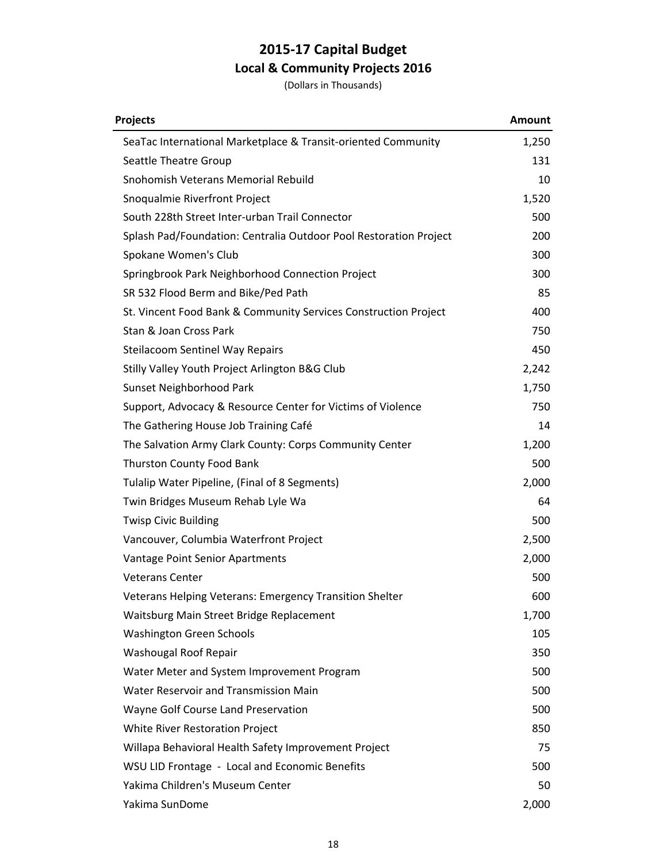| <b>Projects</b>                                                   | <b>Amount</b> |
|-------------------------------------------------------------------|---------------|
| SeaTac International Marketplace & Transit-oriented Community     | 1,250         |
| Seattle Theatre Group                                             | 131           |
| Snohomish Veterans Memorial Rebuild                               | 10            |
| Snoqualmie Riverfront Project                                     | 1,520         |
| South 228th Street Inter-urban Trail Connector                    | 500           |
| Splash Pad/Foundation: Centralia Outdoor Pool Restoration Project | 200           |
| Spokane Women's Club                                              | 300           |
| Springbrook Park Neighborhood Connection Project                  | 300           |
| SR 532 Flood Berm and Bike/Ped Path                               | 85            |
| St. Vincent Food Bank & Community Services Construction Project   | 400           |
| Stan & Joan Cross Park                                            | 750           |
| <b>Steilacoom Sentinel Way Repairs</b>                            | 450           |
| Stilly Valley Youth Project Arlington B&G Club                    | 2,242         |
| Sunset Neighborhood Park                                          | 1,750         |
| Support, Advocacy & Resource Center for Victims of Violence       | 750           |
| The Gathering House Job Training Café                             | 14            |
| The Salvation Army Clark County: Corps Community Center           | 1,200         |
| Thurston County Food Bank                                         | 500           |
| Tulalip Water Pipeline, (Final of 8 Segments)                     | 2,000         |
| Twin Bridges Museum Rehab Lyle Wa                                 | 64            |
| <b>Twisp Civic Building</b>                                       | 500           |
| Vancouver, Columbia Waterfront Project                            | 2,500         |
| Vantage Point Senior Apartments                                   | 2,000         |
| <b>Veterans Center</b>                                            | 500           |
| Veterans Helping Veterans: Emergency Transition Shelter           | 600           |
| Waitsburg Main Street Bridge Replacement                          | 1,700         |
| <b>Washington Green Schools</b>                                   | 105           |
| Washougal Roof Repair                                             | 350           |
| Water Meter and System Improvement Program                        | 500           |
| Water Reservoir and Transmission Main                             | 500           |
| Wayne Golf Course Land Preservation                               | 500           |
| White River Restoration Project                                   | 850           |
| Willapa Behavioral Health Safety Improvement Project              | 75            |
| WSU LID Frontage - Local and Economic Benefits                    | 500           |
| Yakima Children's Museum Center                                   | 50            |
| Yakima SunDome                                                    | 2,000         |